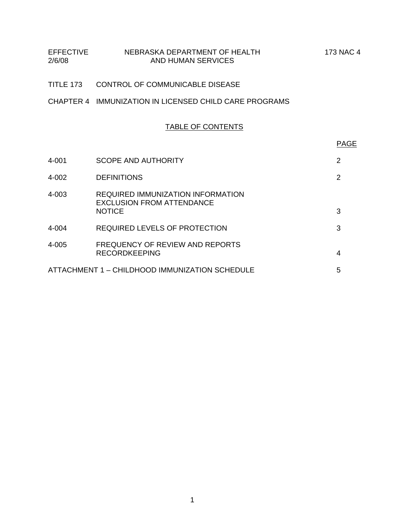| EFFECTIVE<br>2/6/08                            | NEBRASKA DEPARTMENT OF HEALTH<br><b>AND HUMAN SERVICES</b>                   | 173 NAC 4      |  |  |
|------------------------------------------------|------------------------------------------------------------------------------|----------------|--|--|
| TITLE 173                                      | <b>CONTROL OF COMMUNICABLE DISEASE</b>                                       |                |  |  |
|                                                | CHAPTER 4 IMMUNIZATION IN LICENSED CHILD CARE PROGRAMS                       |                |  |  |
|                                                | <b>TABLE OF CONTENTS</b>                                                     |                |  |  |
|                                                |                                                                              | <b>PAGE</b>    |  |  |
| $4 - 001$                                      | SCOPE AND AUTHORITY                                                          | 2              |  |  |
| 4-002                                          | <b>DEFINITIONS</b>                                                           | $\overline{2}$ |  |  |
| 4-003                                          | <b>REQUIRED IMMUNIZATION INFORMATION</b><br><b>EXCLUSION FROM ATTENDANCE</b> |                |  |  |
|                                                | <b>NOTICE</b>                                                                | 3              |  |  |
| 4-004                                          | REQUIRED LEVELS OF PROTECTION                                                | 3              |  |  |
| 4-005                                          | FREQUENCY OF REVIEW AND REPORTS<br><b>RECORDKEEPING</b>                      | $\overline{4}$ |  |  |
| ATTACHMENT 1 - CHILDHOOD IMMUNIZATION SCHEDULE |                                                                              |                |  |  |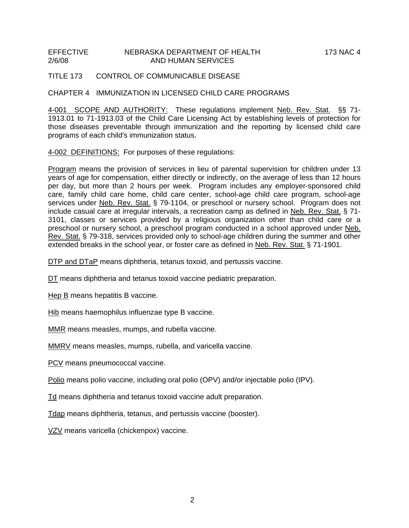## EFFECTIVE NEBRASKA DEPARTMENT OF HEALTH 173 NAC 4 2/6/08 AND HUMAN SERVICES

TITLE 173 CONTROL OF COMMUNICABLE DISEASE

CHAPTER 4 IMMUNIZATION IN LICENSED CHILD CARE PROGRAMS

4-001 SCOPE AND AUTHORITY: These regulations implement Neb. Rev. Stat. §§ 71-1913.01 to 71-1913.03 of the Child Care Licensing Act by establishing levels of protection for those diseases preventable through immunization and the reporting by licensed child care programs of each child's immunization status.

4-002 DEFINITIONS: For purposes of these regulations:

Program means the provision of services in lieu of parental supervision for children under 13 years of age for compensation, either directly or indirectly, on the average of less than 12 hours per day, but more than 2 hours per week. Program includes any employer-sponsored child care, family child care home, child care center, school-age child care program, school-age services under Neb. Rev. Stat. § 79-1104, or preschool or nursery school. Program does not include casual care at irregular intervals, a recreation camp as defined in Neb. Rev. Stat. § 71- 3101, classes or services provided by a religious organization other than child care or a preschool or nursery school, a preschool program conducted in a school approved under Neb. Rev. Stat. § 79-318, services provided only to school-age children during the summer and other extended breaks in the school year, or foster care as defined in Neb. Rev. Stat. § 71-1901.

DTP and DTaP means diphtheria, tetanus toxoid, and pertussis vaccine.

DT means diphtheria and tetanus toxoid vaccine pediatric preparation.

Hep B means hepatitis B vaccine.

Hib means haemophilus influenzae type B vaccine.

MMR means measles, mumps, and rubella vaccine.

MMRV means measles, mumps, rubella, and varicella vaccine.

PCV means pneumococcal vaccine.

Polio means polio vaccine, including oral polio (OPV) and/or injectable polio (IPV).

Td means diphtheria and tetanus toxoid vaccine adult preparation.

Tdap means diphtheria, tetanus, and pertussis vaccine (booster).

VZV means varicella (chickenpox) vaccine.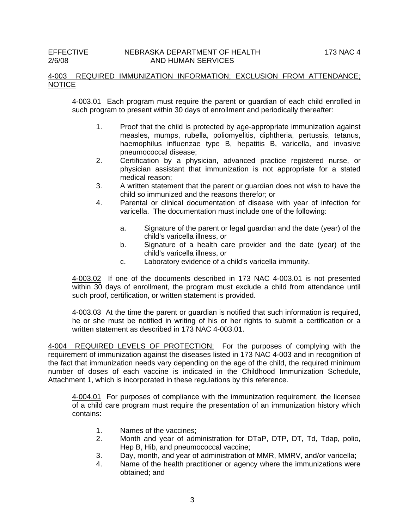# 4-003 REQUIRED IMMUNIZATION INFORMATION; EXCLUSION FROM ATTENDANCE; **NOTICE**

4-003.01 Each program must require the parent or guardian of each child enrolled in such program to present within 30 days of enrollment and periodically thereafter:

- 1. Proof that the child is protected by age-appropriate immunization against measles, mumps, rubella, poliomyelitis, diphtheria, pertussis, tetanus, haemophilus influenzae type B, hepatitis B, varicella, and invasive pneumococcal disease;
- 2. Certification by a physician, advanced practice registered nurse, or physician assistant that immunization is not appropriate for a stated medical reason;
- 3. A written statement that the parent or guardian does not wish to have the child so immunized and the reasons therefor; or
- 4. Parental or clinical documentation of disease with year of infection for varicella. The documentation must include one of the following:
	- a. Signature of the parent or legal guardian and the date (year) of the child's varicella illness, or
	- b. Signature of a health care provider and the date (year) of the child's varicella illness, or
	- c. Laboratory evidence of a child's varicella immunity.

4-003.02 If one of the documents described in 173 NAC 4-003.01 is not presented within 30 days of enrollment, the program must exclude a child from attendance until such proof, certification, or written statement is provided.

4-003.03 At the time the parent or guardian is notified that such information is required, he or she must be notified in writing of his or her rights to submit a certification or a written statement as described in 173 NAC 4-003.01.

4-004 REQUIRED LEVELS OF PROTECTION: For the purposes of complying with the requirement of immunization against the diseases listed in 173 NAC 4-003 and in recognition of the fact that immunization needs vary depending on the age of the child, the required minimum number of doses of each vaccine is indicated in the Childhood Immunization Schedule, Attachment 1, which is incorporated in these regulations by this reference.

4-004.01 For purposes of compliance with the immunization requirement, the licensee of a child care program must require the presentation of an immunization history which contains:

- 1. Names of the vaccines;
- 2. Month and year of administration for DTaP, DTP, DT, Td, Tdap, polio, Hep B, Hib, and pneumococcal vaccine;
- 3. Day, month, and year of administration of MMR, MMRV, and/or varicella;
- 4. Name of the health practitioner or agency where the immunizations were obtained; and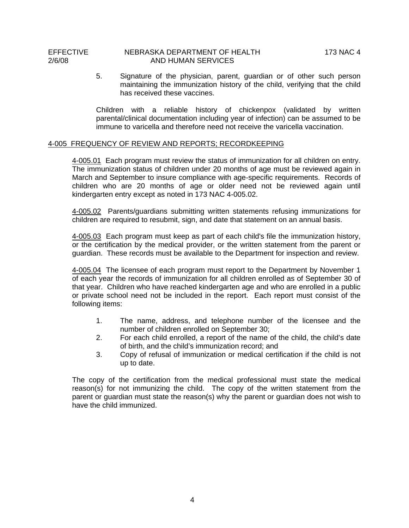# EFFECTIVE NEBRASKA DEPARTMENT OF HEALTH 173 NAC 4 2/6/08 AND HUMAN SERVICES

5. Signature of the physician, parent, guardian or of other such person maintaining the immunization history of the child, verifying that the child has received these vaccines.

Children with a reliable history of chickenpox (validated by written parental/clinical documentation including year of infection) can be assumed to be immune to varicella and therefore need not receive the varicella vaccination.

#### 4-005 FREQUENCY OF REVIEW AND REPORTS; RECORDKEEPING

4-005.01 Each program must review the status of immunization for all children on entry. The immunization status of children under 20 months of age must be reviewed again in March and September to insure compliance with age-specific requirements. Records of children who are 20 months of age or older need not be reviewed again until kindergarten entry except as noted in 173 NAC 4-005.02.

4-005.02 Parents/guardians submitting written statements refusing immunizations for children are required to resubmit, sign, and date that statement on an annual basis.

4-005.03 Each program must keep as part of each child's file the immunization history, or the certification by the medical provider, or the written statement from the parent or guardian. These records must be available to the Department for inspection and review.

4-005.04 The licensee of each program must report to the Department by November 1 of each year the records of immunization for all children enrolled as of September 30 of that year. Children who have reached kindergarten age and who are enrolled in a public or private school need not be included in the report. Each report must consist of the following items:

- 1. The name, address, and telephone number of the licensee and the number of children enrolled on September 30;
- 2. For each child enrolled, a report of the name of the child, the child's date of birth, and the child's immunization record; and
- 3. Copy of refusal of immunization or medical certification if the child is not up to date.

The copy of the certification from the medical professional must state the medical reason(s) for not immunizing the child. The copy of the written statement from the parent or guardian must state the reason(s) why the parent or guardian does not wish to have the child immunized.